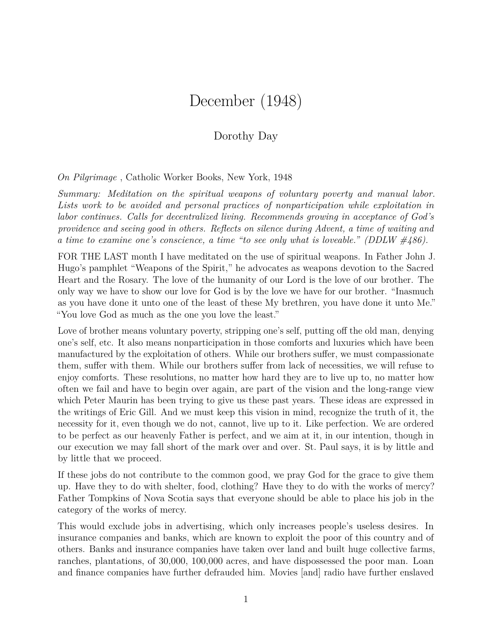## December (1948)

## Dorothy Day

## *On Pilgrimage* , Catholic Worker Books, New York, 1948

*Summary: Meditation on the spiritual weapons of voluntary poverty and manual labor. Lists work to be avoided and personal practices of nonparticipation while exploitation in labor continues. Calls for decentralized living. Recommends growing in acceptance of God's providence and seeing good in others. Reflects on silence during Advent, a time of waiting and a time to examine one's conscience, a time "to see only what is loveable." (DDLW #486).*

FOR THE LAST month I have meditated on the use of spiritual weapons. In Father John J. Hugo's pamphlet "Weapons of the Spirit," he advocates as weapons devotion to the Sacred Heart and the Rosary. The love of the humanity of our Lord is the love of our brother. The only way we have to show our love for God is by the love we have for our brother. "Inasmuch as you have done it unto one of the least of these My brethren, you have done it unto Me." "You love God as much as the one you love the least."

Love of brother means voluntary poverty, stripping one's self, putting off the old man, denying one's self, etc. It also means nonparticipation in those comforts and luxuries which have been manufactured by the exploitation of others. While our brothers suffer, we must compassionate them, suffer with them. While our brothers suffer from lack of necessities, we will refuse to enjoy comforts. These resolutions, no matter how hard they are to live up to, no matter how often we fail and have to begin over again, are part of the vision and the long-range view which Peter Maurin has been trying to give us these past years. These ideas are expressed in the writings of Eric Gill. And we must keep this vision in mind, recognize the truth of it, the necessity for it, even though we do not, cannot, live up to it. Like perfection. We are ordered to be perfect as our heavenly Father is perfect, and we aim at it, in our intention, though in our execution we may fall short of the mark over and over. St. Paul says, it is by little and by little that we proceed.

If these jobs do not contribute to the common good, we pray God for the grace to give them up. Have they to do with shelter, food, clothing? Have they to do with the works of mercy? Father Tompkins of Nova Scotia says that everyone should be able to place his job in the category of the works of mercy.

This would exclude jobs in advertising, which only increases people's useless desires. In insurance companies and banks, which are known to exploit the poor of this country and of others. Banks and insurance companies have taken over land and built huge collective farms, ranches, plantations, of 30,000, 100,000 acres, and have dispossessed the poor man. Loan and finance companies have further defrauded him. Movies [and] radio have further enslaved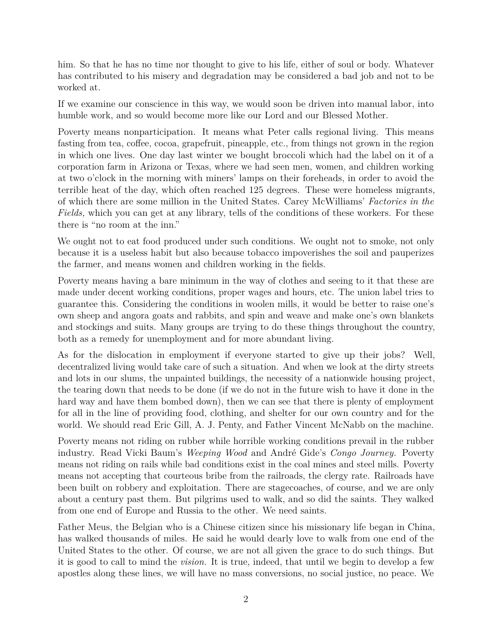him. So that he has no time nor thought to give to his life, either of soul or body. Whatever has contributed to his misery and degradation may be considered a bad job and not to be worked at.

If we examine our conscience in this way, we would soon be driven into manual labor, into humble work, and so would become more like our Lord and our Blessed Mother.

Poverty means nonparticipation. It means what Peter calls regional living. This means fasting from tea, coffee, cocoa, grapefruit, pineapple, etc., from things not grown in the region in which one lives. One day last winter we bought broccoli which had the label on it of a corporation farm in Arizona or Texas, where we had seen men, women, and children working at two o'clock in the morning with miners' lamps on their foreheads, in order to avoid the terrible heat of the day, which often reached 125 degrees. These were homeless migrants, of which there are some million in the United States. Carey McWilliams' *Factories in the Fields,* which you can get at any library, tells of the conditions of these workers. For these there is "no room at the inn."

We ought not to eat food produced under such conditions. We ought not to smoke, not only because it is a useless habit but also because tobacco impoverishes the soil and pauperizes the farmer, and means women and children working in the fields.

Poverty means having a bare minimum in the way of clothes and seeing to it that these are made under decent working conditions, proper wages and hours, etc. The union label tries to guarantee this. Considering the conditions in woolen mills, it would be better to raise one's own sheep and angora goats and rabbits, and spin and weave and make one's own blankets and stockings and suits. Many groups are trying to do these things throughout the country, both as a remedy for unemployment and for more abundant living.

As for the dislocation in employment if everyone started to give up their jobs? Well, decentralized living would take care of such a situation. And when we look at the dirty streets and lots in our slums, the unpainted buildings, the necessity of a nationwide housing project, the tearing down that needs to be done (if we do not in the future wish to have it done in the hard way and have them bombed down), then we can see that there is plenty of employment for all in the line of providing food, clothing, and shelter for our own country and for the world. We should read Eric Gill, A. J. Penty, and Father Vincent McNabb on the machine.

Poverty means not riding on rubber while horrible working conditions prevail in the rubber industry. Read Vicki Baum's *Weeping Wood* and André Gide's *Congo Journey.* Poverty means not riding on rails while bad conditions exist in the coal mines and steel mills. Poverty means not accepting that courteous bribe from the railroads, the clergy rate. Railroads have been built on robbery and exploitation. There are stagecoaches, of course, and we are only about a century past them. But pilgrims used to walk, and so did the saints. They walked from one end of Europe and Russia to the other. We need saints.

Father Meus, the Belgian who is a Chinese citizen since his missionary life began in China, has walked thousands of miles. He said he would dearly love to walk from one end of the United States to the other. Of course, we are not all given the grace to do such things. But it is good to call to mind the *vision.* It is true, indeed, that until we begin to develop a few apostles along these lines, we will have no mass conversions, no social justice, no peace. We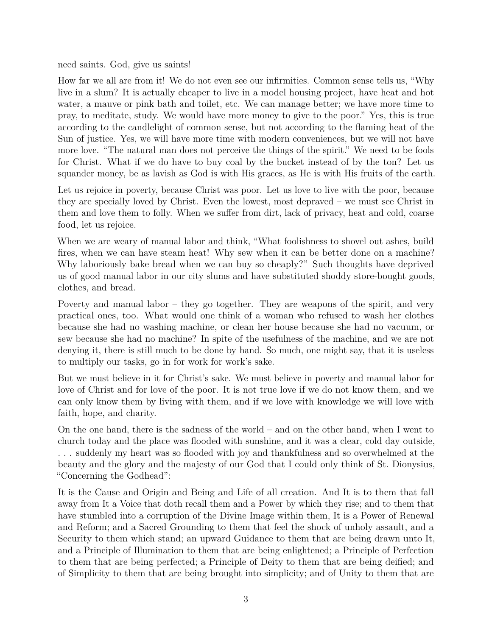need saints. God, give us saints!

How far we all are from it! We do not even see our infirmities. Common sense tells us, "Why live in a slum? It is actually cheaper to live in a model housing project, have heat and hot water, a mauve or pink bath and toilet, etc. We can manage better; we have more time to pray, to meditate, study. We would have more money to give to the poor." Yes, this is true according to the candlelight of common sense, but not according to the flaming heat of the Sun of justice. Yes, we will have more time with modern conveniences, but we will not have more love. "The natural man does not perceive the things of the spirit." We need to be fools for Christ. What if we do have to buy coal by the bucket instead of by the ton? Let us squander money, be as lavish as God is with His graces, as He is with His fruits of the earth.

Let us rejoice in poverty, because Christ was poor. Let us love to live with the poor, because they are specially loved by Christ. Even the lowest, most depraved – we must see Christ in them and love them to folly. When we suffer from dirt, lack of privacy, heat and cold, coarse food, let us rejoice.

When we are weary of manual labor and think, "What foolishness to shovel out ashes, build fires, when we can have steam heat! Why sew when it can be better done on a machine? Why laboriously bake bread when we can buy so cheaply?" Such thoughts have deprived us of good manual labor in our city slums and have substituted shoddy store-bought goods, clothes, and bread.

Poverty and manual labor – they go together. They are weapons of the spirit, and very practical ones, too. What would one think of a woman who refused to wash her clothes because she had no washing machine, or clean her house because she had no vacuum, or sew because she had no machine? In spite of the usefulness of the machine, and we are not denying it, there is still much to be done by hand. So much, one might say, that it is useless to multiply our tasks, go in for work for work's sake.

But we must believe in it for Christ's sake. We must believe in poverty and manual labor for love of Christ and for love of the poor. It is not true love if we do not know them, and we can only know them by living with them, and if we love with knowledge we will love with faith, hope, and charity.

On the one hand, there is the sadness of the world – and on the other hand, when I went to church today and the place was flooded with sunshine, and it was a clear, cold day outside, . . . suddenly my heart was so flooded with joy and thankfulness and so overwhelmed at the beauty and the glory and the majesty of our God that I could only think of St. Dionysius, "Concerning the Godhead":

It is the Cause and Origin and Being and Life of all creation. And It is to them that fall away from It a Voice that doth recall them and a Power by which they rise; and to them that have stumbled into a corruption of the Divine Image within them, It is a Power of Renewal and Reform; and a Sacred Grounding to them that feel the shock of unholy assault, and a Security to them which stand; an upward Guidance to them that are being drawn unto It, and a Principle of Illumination to them that are being enlightened; a Principle of Perfection to them that are being perfected; a Principle of Deity to them that are being deified; and of Simplicity to them that are being brought into simplicity; and of Unity to them that are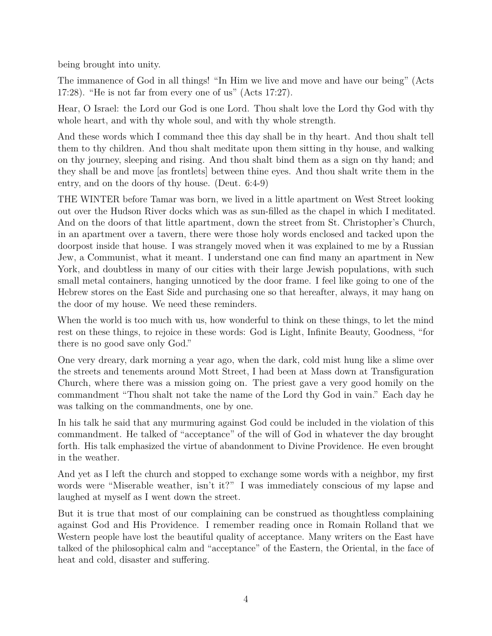being brought into unity.

The immanence of God in all things! "In Him we live and move and have our being" (Acts 17:28). "He is not far from every one of us" (Acts 17:27).

Hear, O Israel: the Lord our God is one Lord. Thou shalt love the Lord thy God with thy whole heart, and with thy whole soul, and with thy whole strength.

And these words which I command thee this day shall be in thy heart. And thou shalt tell them to thy children. And thou shalt meditate upon them sitting in thy house, and walking on thy journey, sleeping and rising. And thou shalt bind them as a sign on thy hand; and they shall be and move [as frontlets] between thine eyes. And thou shalt write them in the entry, and on the doors of thy house. (Deut. 6:4-9)

THE WINTER before Tamar was born, we lived in a little apartment on West Street looking out over the Hudson River docks which was as sun-filled as the chapel in which I meditated. And on the doors of that little apartment, down the street from St. Christopher's Church, in an apartment over a tavern, there were those holy words enclosed and tacked upon the doorpost inside that house. I was strangely moved when it was explained to me by a Russian Jew, a Communist, what it meant. I understand one can find many an apartment in New York, and doubtless in many of our cities with their large Jewish populations, with such small metal containers, hanging unnoticed by the door frame. I feel like going to one of the Hebrew stores on the East Side and purchasing one so that hereafter, always, it may hang on the door of my house. We need these reminders.

When the world is too much with us, how wonderful to think on these things, to let the mind rest on these things, to rejoice in these words: God is Light, Infinite Beauty, Goodness, "for there is no good save only God."

One very dreary, dark morning a year ago, when the dark, cold mist hung like a slime over the streets and tenements around Mott Street, I had been at Mass down at Transfiguration Church, where there was a mission going on. The priest gave a very good homily on the commandment "Thou shalt not take the name of the Lord thy God in vain." Each day he was talking on the commandments, one by one.

In his talk he said that any murmuring against God could be included in the violation of this commandment. He talked of "acceptance" of the will of God in whatever the day brought forth. His talk emphasized the virtue of abandonment to Divine Providence. He even brought in the weather.

And yet as I left the church and stopped to exchange some words with a neighbor, my first words were "Miserable weather, isn't it?" I was immediately conscious of my lapse and laughed at myself as I went down the street.

But it is true that most of our complaining can be construed as thoughtless complaining against God and His Providence. I remember reading once in Romain Rolland that we Western people have lost the beautiful quality of acceptance. Many writers on the East have talked of the philosophical calm and "acceptance" of the Eastern, the Oriental, in the face of heat and cold, disaster and suffering.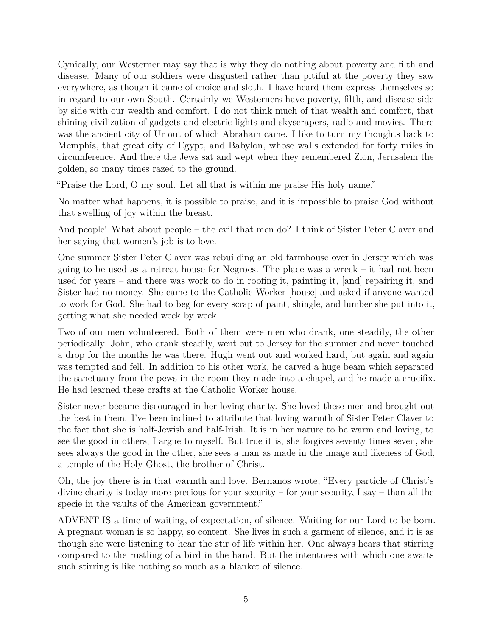Cynically, our Westerner may say that is why they do nothing about poverty and filth and disease. Many of our soldiers were disgusted rather than pitiful at the poverty they saw everywhere, as though it came of choice and sloth. I have heard them express themselves so in regard to our own South. Certainly we Westerners have poverty, filth, and disease side by side with our wealth and comfort. I do not think much of that wealth and comfort, that shining civilization of gadgets and electric lights and skyscrapers, radio and movies. There was the ancient city of Ur out of which Abraham came. I like to turn my thoughts back to Memphis, that great city of Egypt, and Babylon, whose walls extended for forty miles in circumference. And there the Jews sat and wept when they remembered Zion, Jerusalem the golden, so many times razed to the ground.

"Praise the Lord, O my soul. Let all that is within me praise His holy name."

No matter what happens, it is possible to praise, and it is impossible to praise God without that swelling of joy within the breast.

And people! What about people – the evil that men do? I think of Sister Peter Claver and her saying that women's job is to love.

One summer Sister Peter Claver was rebuilding an old farmhouse over in Jersey which was going to be used as a retreat house for Negroes. The place was a wreck – it had not been used for years – and there was work to do in roofing it, painting it, [and] repairing it, and Sister had no money. She came to the Catholic Worker [house] and asked if anyone wanted to work for God. She had to beg for every scrap of paint, shingle, and lumber she put into it, getting what she needed week by week.

Two of our men volunteered. Both of them were men who drank, one steadily, the other periodically. John, who drank steadily, went out to Jersey for the summer and never touched a drop for the months he was there. Hugh went out and worked hard, but again and again was tempted and fell. In addition to his other work, he carved a huge beam which separated the sanctuary from the pews in the room they made into a chapel, and he made a crucifix. He had learned these crafts at the Catholic Worker house.

Sister never became discouraged in her loving charity. She loved these men and brought out the best in them. I've been inclined to attribute that loving warmth of Sister Peter Claver to the fact that she is half-Jewish and half-Irish. It is in her nature to be warm and loving, to see the good in others, I argue to myself. But true it is, she forgives seventy times seven, she sees always the good in the other, she sees a man as made in the image and likeness of God, a temple of the Holy Ghost, the brother of Christ.

Oh, the joy there is in that warmth and love. Bernanos wrote, "Every particle of Christ's divine charity is today more precious for your security – for your security, I say – than all the specie in the vaults of the American government."

ADVENT IS a time of waiting, of expectation, of silence. Waiting for our Lord to be born. A pregnant woman is so happy, so content. She lives in such a garment of silence, and it is as though she were listening to hear the stir of life within her. One always hears that stirring compared to the rustling of a bird in the hand. But the intentness with which one awaits such stirring is like nothing so much as a blanket of silence.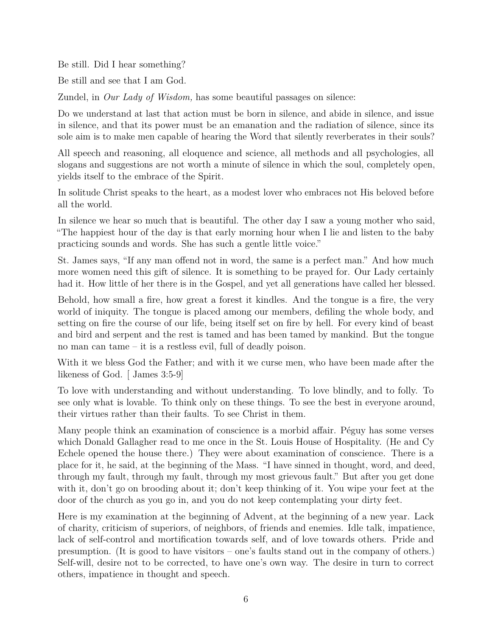Be still. Did I hear something?

Be still and see that I am God.

Zundel, in *Our Lady of Wisdom,* has some beautiful passages on silence:

Do we understand at last that action must be born in silence, and abide in silence, and issue in silence, and that its power must be an emanation and the radiation of silence, since its sole aim is to make men capable of hearing the Word that silently reverberates in their souls?

All speech and reasoning, all eloquence and science, all methods and all psychologies, all slogans and suggestions are not worth a minute of silence in which the soul, completely open, yields itself to the embrace of the Spirit.

In solitude Christ speaks to the heart, as a modest lover who embraces not His beloved before all the world.

In silence we hear so much that is beautiful. The other day I saw a young mother who said, "The happiest hour of the day is that early morning hour when I lie and listen to the baby practicing sounds and words. She has such a gentle little voice."

St. James says, "If any man offend not in word, the same is a perfect man." And how much more women need this gift of silence. It is something to be prayed for. Our Lady certainly had it. How little of her there is in the Gospel, and yet all generations have called her blessed.

Behold, how small a fire, how great a forest it kindles. And the tongue is a fire, the very world of iniquity. The tongue is placed among our members, defiling the whole body, and setting on fire the course of our life, being itself set on fire by hell. For every kind of beast and bird and serpent and the rest is tamed and has been tamed by mankind. But the tongue no man can tame – it is a restless evil, full of deadly poison.

With it we bless God the Father; and with it we curse men, who have been made after the likeness of God. [ James 3:5-9]

To love with understanding and without understanding. To love blindly, and to folly. To see only what is lovable. To think only on these things. To see the best in everyone around, their virtues rather than their faults. To see Christ in them.

Many people think an examination of conscience is a morbid affair. Péguy has some verses which Donald Gallagher read to me once in the St. Louis House of Hospitality. (He and Cy Echele opened the house there.) They were about examination of conscience. There is a place for it, he said, at the beginning of the Mass. "I have sinned in thought, word, and deed, through my fault, through my fault, through my most grievous fault." But after you get done with it, don't go on brooding about it; don't keep thinking of it. You wipe your feet at the door of the church as you go in, and you do not keep contemplating your dirty feet.

Here is my examination at the beginning of Advent, at the beginning of a new year. Lack of charity, criticism of superiors, of neighbors, of friends and enemies. Idle talk, impatience, lack of self-control and mortification towards self, and of love towards others. Pride and presumption. (It is good to have visitors – one's faults stand out in the company of others.) Self-will, desire not to be corrected, to have one's own way. The desire in turn to correct others, impatience in thought and speech.